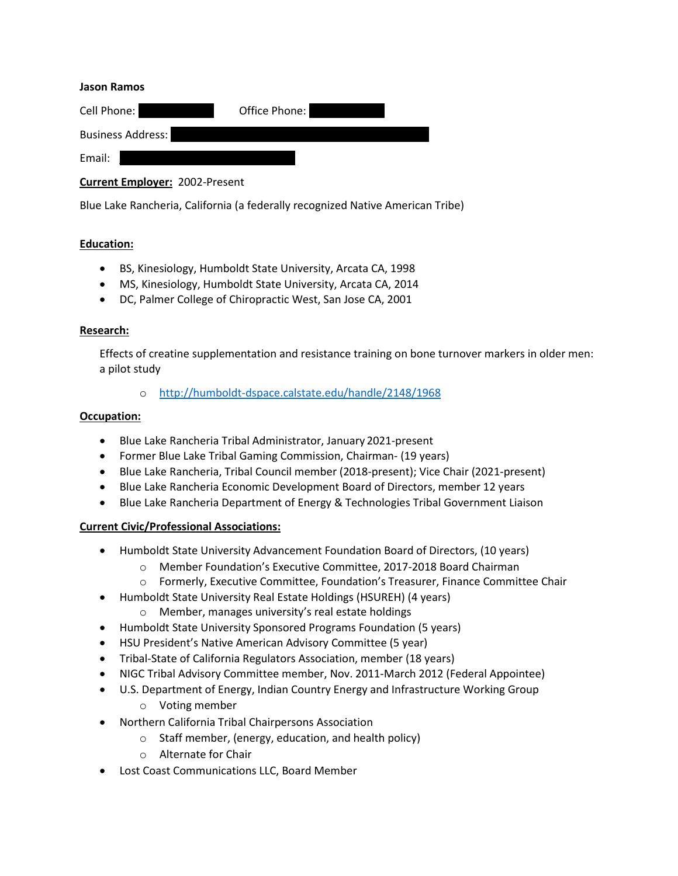#### **Jason Ramos**

| Cell Phone:              | Office Phone: |
|--------------------------|---------------|
| <b>Business Address:</b> |               |
| Email:                   |               |

**Current Employer:** 2002-Present

Blue Lake Rancheria, California (a federally recognized Native American Tribe)

### **Education:**

- BS, Kinesiology, Humboldt State University, Arcata CA, 1998
- MS, Kinesiology, Humboldt State University, Arcata CA, 2014
- DC, Palmer College of Chiropractic West, San Jose CA, 2001

### **Research:**

Effects of creatine supplementation and resistance training on bone turnover markers in older men: a pilot study

o <http://humboldt-dspace.calstate.edu/handle/2148/1968>

### **Occupation:**

- Blue Lake Rancheria Tribal Administrator, January 2021-present
- Former Blue Lake Tribal Gaming Commission, Chairman- (19 years)
- Blue Lake Rancheria, Tribal Council member (2018-present); Vice Chair (2021-present)
- Blue Lake Rancheria Economic Development Board of Directors, member 12 years
- Blue Lake Rancheria Department of Energy & Technologies Tribal Government Liaison

### **Current Civic/Professional Associations:**

- Humboldt State University Advancement Foundation Board of Directors, (10 years)
	- o Member Foundation's Executive Committee, 2017-2018 Board Chairman
	- o Formerly, Executive Committee, Foundation's Treasurer, Finance Committee Chair
- Humboldt State University Real Estate Holdings (HSUREH) (4 years)
	- o Member, manages university's real estate holdings
- Humboldt State University Sponsored Programs Foundation (5 years)
- HSU President's Native American Advisory Committee (5 year)
- Tribal-State of California Regulators Association, member (18 years)
- NIGC Tribal Advisory Committee member, Nov. 2011-March 2012 (Federal Appointee)
- U.S. Department of Energy, Indian Country Energy and Infrastructure Working Group
	- o Voting member
- Northern California Tribal Chairpersons Association
	- $\circ$  Staff member, (energy, education, and health policy)
	- o Alternate for Chair
- Lost Coast Communications LLC, Board Member